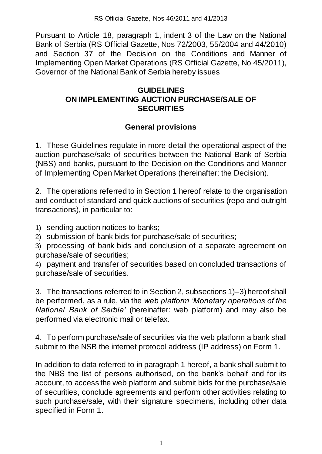Pursuant to Article 18, paragraph 1, indent 3 of the Law on the National Bank of Serbia (RS Official Gazette, Nos 72/2003, 55/2004 and 44/2010) and Section 37 of the Decision on the Conditions and Manner of Implementing Open Market Operations (RS Official Gazette, No 45/2011), Governor of the National Bank of Serbia hereby issues

### **GUIDELINES ON IMPLEMENTING AUCTION PURCHASE/SALE OF SECURITIES**

# **General provisions**

1. These Guidelines regulate in more detail the operational aspect of the auction purchase/sale of securities between the National Bank of Serbia (NBS) and banks, pursuant to the Decision on the Conditions and Manner of Implementing Open Market Operations (hereinafter: the Decision).

2. The operations referred to in Section 1 hereof relate to the organisation and conduct of standard and quick auctions of securities (repo and outright transactions), in particular to:

1) sending auction notices to banks;

2) submission of bank bids for purchase/sale of securities;

3) processing of bank bids and conclusion of a separate agreement on purchase/sale of securities;

4) payment and transfer of securities based on concluded transactions of purchase/sale of securities.

3. The transactions referred to in Section 2, subsections 1)–3) hereof shall be performed, as a rule, via the *web platform 'Monetary operations of the National Bank of Serbia'* (hereinafter: web platform) and may also be performed via electronic mail or telefax.

4. To perform purchase/sale of securities via the web platform a bank shall submit to the NSB the internet protocol address (IP address) on Form 1.

In addition to data referred to in paragraph 1 hereof, a bank shall submit to the NBS the list of persons authorised, on the bank's behalf and for its account, to access the web platform and submit bids for the purchase/sale of securities, conclude agreements and perform other activities relating to such purchase/sale, with their signature specimens, including other data specified in Form 1.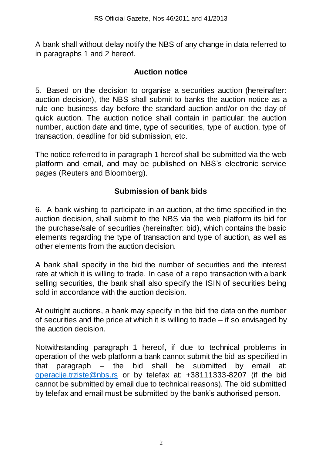A bank shall without delay notify the NBS of any change in data referred to in paragraphs 1 and 2 hereof.

#### **Auction notice**

5. Based on the decision to organise a securities auction (hereinafter: auction decision), the NBS shall submit to banks the auction notice as a rule one business day before the standard auction and/or on the day of quick auction. The auction notice shall contain in particular: the auction number, auction date and time, type of securities, type of auction, type of transaction, deadline for bid submission, etc.

The notice referred to in paragraph 1 hereof shall be submitted via the web platform and email, and may be published on NBS's electronic service pages (Reuters and Bloomberg).

### **Submission of bank bids**

6. A bank wishing to participate in an auction, at the time specified in the auction decision, shall submit to the NBS via the web platform its bid for the purchase/sale of securities (hereinafter: bid), which contains the basic elements regarding the type of transaction and type of auction, as well as other elements from the auction decision.

A bank shall specify in the bid the number of securities and the interest rate at which it is willing to trade. In case of a repo transaction with a bank selling securities, the bank shall also specify the ISIN of securities being sold in accordance with the auction decision.

At outright auctions, a bank may specify in the bid the data on the number of securities and the price at which it is willing to trade – if so envisaged by the auction decision.

Notwithstanding paragraph 1 hereof, if due to technical problems in operation of the web platform a bank cannot submit the bid as specified in that paragraph – the bid shall be submitted by email at: [operacije.trziste@nbs.rs](mailto:operacije.trziste@nbs.rs) or by telefax at: +38111333-8207 (if the bid cannot be submitted by email due to technical reasons). The bid submitted by telefax and email must be submitted by the bank's authorised person.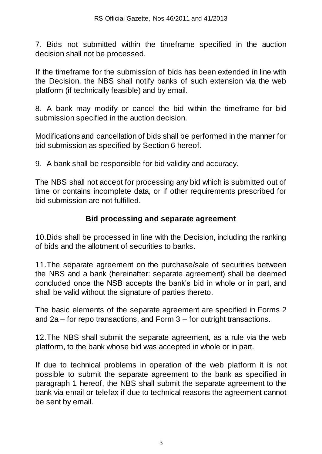7. Bids not submitted within the timeframe specified in the auction decision shall not be processed.

If the timeframe for the submission of bids has been extended in line with the Decision, the NBS shall notify banks of such extension via the web platform (if technically feasible) and by email.

8. A bank may modify or cancel the bid within the timeframe for bid submission specified in the auction decision.

Modifications and cancellation of bids shall be performed in the manner for bid submission as specified by Section 6 hereof.

9. A bank shall be responsible for bid validity and accuracy.

The NBS shall not accept for processing any bid which is submitted out of time or contains incomplete data, or if other requirements prescribed for bid submission are not fulfilled.

#### **Bid processing and separate agreement**

10.Bids shall be processed in line with the Decision, including the ranking of bids and the allotment of securities to banks.

11.The separate agreement on the purchase/sale of securities between the NBS and a bank (hereinafter: separate agreement) shall be deemed concluded once the NSB accepts the bank's bid in whole or in part, and shall be valid without the signature of parties thereto.

The basic elements of the separate agreement are specified in Forms 2 and 2a – for repo transactions, and Form 3 – for outright transactions.

12.The NBS shall submit the separate agreement, as a rule via the web platform, to the bank whose bid was accepted in whole or in part.

If due to technical problems in operation of the web platform it is not possible to submit the separate agreement to the bank as specified in paragraph 1 hereof, the NBS shall submit the separate agreement to the bank via email or telefax if due to technical reasons the agreement cannot be sent by email.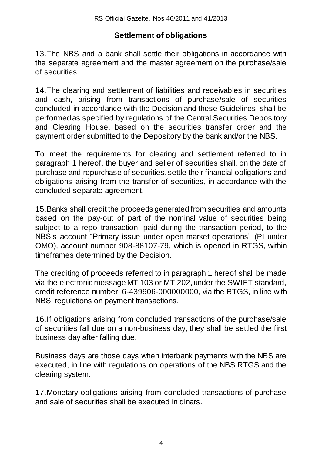# **Settlement of obligations**

13.The NBS and a bank shall settle their obligations in accordance with the separate agreement and the master agreement on the purchase/sale of securities.

14.The clearing and settlement of liabilities and receivables in securities and cash, arising from transactions of purchase/sale of securities concluded in accordance with the Decision and these Guidelines, shall be performed as specified by regulations of the Central Securities Depository and Clearing House, based on the securities transfer order and the payment order submitted to the Depository by the bank and/or the NBS.

To meet the requirements for clearing and settlement referred to in paragraph 1 hereof, the buyer and seller of securities shall, on the date of purchase and repurchase of securities, settle their financial obligations and obligations arising from the transfer of securities, in accordance with the concluded separate agreement.

15.Banks shall credit the proceeds generated from securities and amounts based on the pay-out of part of the nominal value of securities being subject to a repo transaction, paid during the transaction period, to the NBS's account "Primary issue under open market operations" (PI under OMO), account number 908-88107-79, which is opened in RTGS, within timeframes determined by the Decision.

The crediting of proceeds referred to in paragraph 1 hereof shall be made via the electronic message MT 103 or MT 202, under the SWIFT standard, credit reference number: 6-439906-000000000, via the RTGS, in line with NBS' regulations on payment transactions.

16.If obligations arising from concluded transactions of the purchase/sale of securities fall due on a non-business day, they shall be settled the first business day after falling due.

Business days are those days when interbank payments with the NBS are executed, in line with regulations on operations of the NBS RTGS and the clearing system.

17.Monetary obligations arising from concluded transactions of purchase and sale of securities shall be executed in dinars.